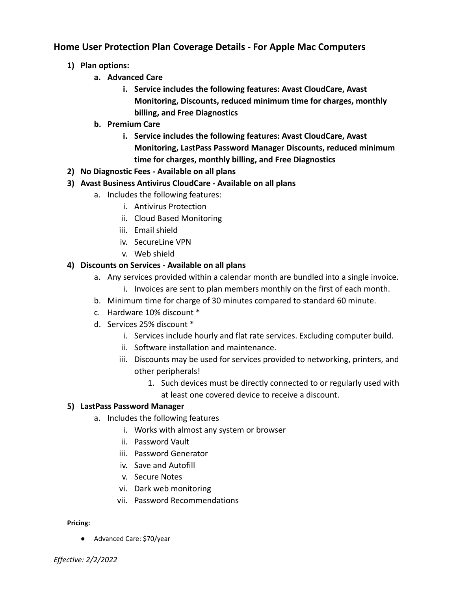## **Home User Protection Plan Coverage Details - For Apple Mac Computers**

- **1) Plan options:**
	- **a. Advanced Care**
		- **i. Service includes the following features: Avast CloudCare, Avast Monitoring, Discounts, reduced minimum time for charges, monthly billing, and Free Diagnostics**
	- **b. Premium Care**
		- **i. Service includes the following features: Avast CloudCare, Avast Monitoring, LastPass Password Manager Discounts, reduced minimum time for charges, monthly billing, and Free Diagnostics**
- **2) No Diagnostic Fees Available on all plans**
- **3) Avast Business Antivirus CloudCare Available on all plans**
	- a. Includes the following features:
		- i. Antivirus Protection
		- ii. Cloud Based Monitoring
		- iii. Email shield
		- iv. SecureLine VPN
		- v. Web shield

## **4) Discounts on Services - Available on all plans**

- a. Any services provided within a calendar month are bundled into a single invoice.
	- i. Invoices are sent to plan members monthly on the first of each month.
- b. Minimum time for charge of 30 minutes compared to standard 60 minute.
- c. Hardware 10% discount \*
- d. Services 25% discount \*
	- i. Services include hourly and flat rate services. Excluding computer build.
	- ii. Software installation and maintenance.
	- iii. Discounts may be used for services provided to networking, printers, and other peripherals!
		- 1. Such devices must be directly connected to or regularly used with at least one covered device to receive a discount.

## **5) LastPass Password Manager**

- a. Includes the following features
	- i. Works with almost any system or browser
	- ii. Password Vault
	- iii. Password Generator
	- iv. Save and Autofill
	- v. Secure Notes
	- vi. Dark web monitoring
	- vii. Password Recommendations

## **Pricing:**

● Advanced Care: \$70/year